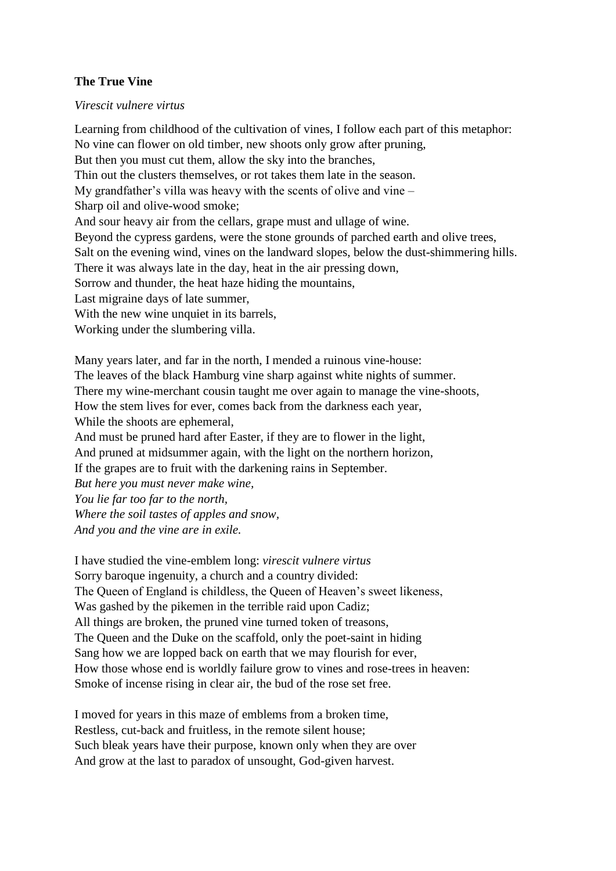## **The True Vine**

## *Virescit vulnere virtus*

Learning from childhood of the cultivation of vines, I follow each part of this metaphor: No vine can flower on old timber, new shoots only grow after pruning, But then you must cut them, allow the sky into the branches, Thin out the clusters themselves, or rot takes them late in the season. My grandfather's villa was heavy with the scents of olive and vine – Sharp oil and olive-wood smoke; And sour heavy air from the cellars, grape must and ullage of wine. Beyond the cypress gardens, were the stone grounds of parched earth and olive trees, Salt on the evening wind, vines on the landward slopes, below the dust-shimmering hills. There it was always late in the day, heat in the air pressing down, Sorrow and thunder, the heat haze hiding the mountains, Last migraine days of late summer, With the new wine unquiet in its barrels, Working under the slumbering villa.

Many years later, and far in the north, I mended a ruinous vine-house: The leaves of the black Hamburg vine sharp against white nights of summer. There my wine-merchant cousin taught me over again to manage the vine-shoots, How the stem lives for ever, comes back from the darkness each year, While the shoots are ephemeral, And must be pruned hard after Easter, if they are to flower in the light, And pruned at midsummer again, with the light on the northern horizon, If the grapes are to fruit with the darkening rains in September. *But here you must never make wine, You lie far too far to the north, Where the soil tastes of apples and snow, And you and the vine are in exile.*

I have studied the vine-emblem long: *virescit vulnere virtus* Sorry baroque ingenuity, a church and a country divided: The Queen of England is childless, the Queen of Heaven's sweet likeness, Was gashed by the pikemen in the terrible raid upon Cadiz; All things are broken, the pruned vine turned token of treasons, The Queen and the Duke on the scaffold, only the poet-saint in hiding Sang how we are lopped back on earth that we may flourish for ever, How those whose end is worldly failure grow to vines and rose-trees in heaven: Smoke of incense rising in clear air, the bud of the rose set free.

I moved for years in this maze of emblems from a broken time, Restless, cut-back and fruitless, in the remote silent house; Such bleak years have their purpose, known only when they are over And grow at the last to paradox of unsought, God-given harvest.